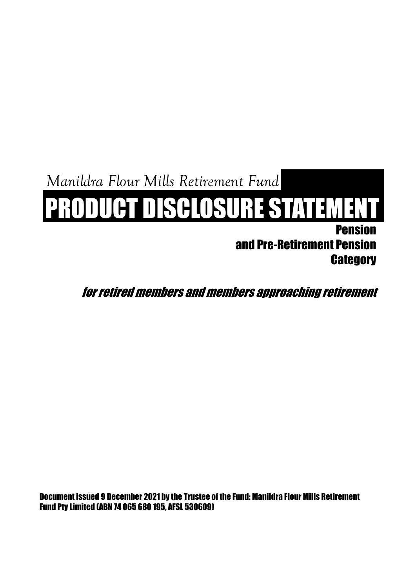*Manildra Flour Mills Retirement Fund*

# PRODUCT DISCLOSURE STATEMENT

Pension and Pre-Retirement Pension **Category** 

for retired members and members approaching retirement

Document issued 9 December 2021 by the Trustee of the Fund: Manildra Flour Mills Retirement Fund Pty Limited (ABN 74 065 680 195, AFSL 530609)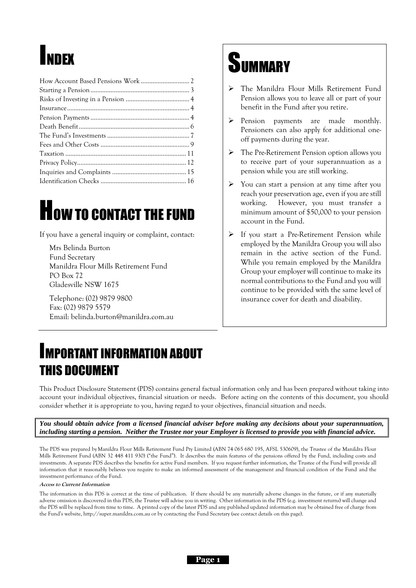# INDEX

# <span id="page-1-0"></span>**HOW TO CONTACT THE FUND**

If you have a general inquiry or complaint, contact:

Mrs Belinda Burton Fund Secretary Manildra Flour Mills Retirement Fund PO Box 72 Gladesville NSW 1675

Telephone: (02) 9879 9800 Fax: (02) 9879 5579 Email: belinda.burton@manildra.com.au

## **SUMMARY**

- ➢ The Manildra Flour Mills Retirement Fund Pension allows you to leave all or part of your benefit in the Fund after you retire.
- ➢ Pension payments are made monthly. Pensioners can also apply for additional oneoff payments during the year.
- ➢ The Pre-Retirement Pension option allows you to receive part of your superannuation as a pension while you are still working.
- ➢ You can start a pension at any time after you reach your preservation age, even if you are still working. However, you must transfer a minimum amount of \$50,000 to your pension account in the Fund.
- ➢ If you start a Pre-Retirement Pension while employed by the Manildra Group you will also remain in the active section of the Fund. While you remain employed by the Manildra Group your employer will continue to make its normal contributions to the Fund and you will continue to be provided with the same level of insurance cover for death and disability.

## IMPORTANT INFORMATION ABOUT THIS DOCUMENT

This Product Disclosure Statement (PDS) contains general factual information only and has been prepared without taking into account your individual objectives, financial situation or needs. Before acting on the contents of this document, you should consider whether it is appropriate to you, having regard to your objectives, financial situation and needs.

*You should obtain advice from a licensed financial adviser before making any decisions about your superannuation, including starting a pension. Neither the Trustee nor your Employer is licensed to provide you with financial advice.*

The PDS was prepared by Manildra Flour Mills Retirement Fund Pty Limited (ABN 74 065 680 195, AFSL 530609), the Trustee of the Manildra Flour Mills Retirement Fund (ABN 32 448 411 930) ("the Fund"). It describes the main features of the pensions offered by the Fund, including costs and investments. A separate PDS describes the benefits for active Fund members. If you request further information, the Trustee of the Fund will provide all information that it reasonably believes you require to make an informed assessment of the management and financial condition of the Fund and the investment performance of the Fund.

#### **Access to Current Information**

The information in this PDS is correct at the time of publication. If there should be any materially adverse changes in the future, or if any materially adverse omission is discovered in this PDS, the Trustee will advise you in writing. Other information in the PDS (e.g. investment returns) will change and the PDS will be replaced from time to time. A printed copy of the latest PDS and any published updated information may be obtained free of charge from the Fund's website, http://super.manildra.com.au or by contacting the Fund Secretary (see contact details on this page).

**Page 1**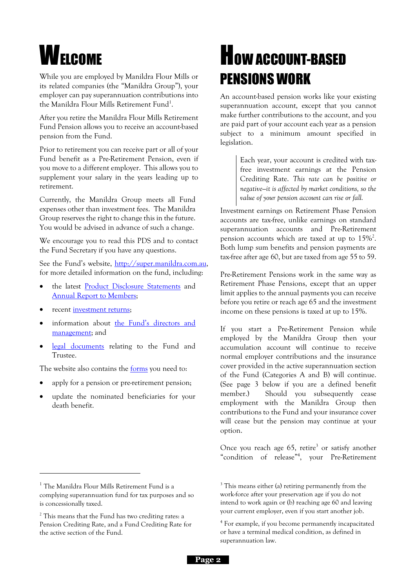# **WELCOME**

While you are employed by Manildra Flour Mills or its related companies (the "Manildra Group"), your employer can pay superannuation contributions into the Manildra Flour Mills Retirement Fund<sup>1</sup>.

After you retire the Manildra Flour Mills Retirement Fund Pension allows you to receive an account-based pension from the Fund.

Prior to retirement you can receive part or all of your Fund benefit as a Pre-Retirement Pension, even if you move to a different employer. This allows you to supplement your salary in the years leading up to retirement.

Currently, the Manildra Group meets all Fund expenses other than investment fees. The Manildra Group reserves the right to change this in the future. You would be advised in advance of such a change.

We encourage you to read this PDS and to contact the Fund Secretary if you have any questions.

See the Fund's website, [http://super.manildra.com.au,](http://super.manildra.com.au/) for more detailed information on the fund, including:

- the latest [Product Disclosure Statements](http://super.manildra.com.au/member-guide-pds/) and [Annual Report to Members;](http://super.manildra.com.au/annual-reports/)
- recent [investment returns;](http://super.manildra.com.au/about-the-fund/)
- information about the Fund's directors and [management;](http://super.manildra.com.au/about-the-trustee/) and
- [legal documents](http://super.manildra.com.au/trust-deed/) relating to the Fund and Trustee.

The website also contains the **forms** you need to:

- apply for a pension or pre-retirement pension;
- update the nominated beneficiaries for your death benefit.

## **HOW ACCOUNT-BASED** PENSIONS WORK

<span id="page-2-0"></span>An account-based pension works like your existing superannuation account, except that you cannot make further contributions to the account, and you are paid part of your account each year as a pension subject to a minimum amount specified in legislation.

> Each year, your account is credited with taxfree investment earnings at the Pension Crediting Rate. *This rate can be positive or negative—it is affected by market conditions, so the value of your pension account can rise or fall.*

Investment earnings on Retirement Phase Pension accounts are tax-free, unlike earnings on standard superannuation accounts and Pre-Retirement pension accounts which are taxed at up to  $15\%^2$ . Both lump sum benefits and pension payments are tax-free after age 60, but are taxed from age 55 to 59.

Pre-Retirement Pensions work in the same way as Retirement Phase Pensions, except that an upper limit applies to the annual payments you can receive before you retire or reach age 65 and the investment income on these pensions is taxed at up to 15%.

If you start a Pre-Retirement Pension while employed by the Manildra Group then your accumulation account will continue to receive normal employer contributions and the insurance cover provided in the active superannuation section of the Fund (Categories A and B) will continue. (See page [3](#page-3-1) below if you are a defined benefit member.) Should you subsequently cease employment with the Manildra Group then contributions to the Fund and your insurance cover will cease but the pension may continue at your option.

Once you reach age  $65$ , retire<sup>3</sup> or satisfy another "condition of release"<sup>4</sup>, your Pre-Retirement

<sup>&</sup>lt;sup>1</sup> The Manildra Flour Mills Retirement Fund is a complying superannuation fund for tax purposes and so is concessionally taxed.

 $2$  This means that the Fund has two crediting rates: a Pension Crediting Rate, and a Fund Crediting Rate for the active section of the Fund.

<sup>3</sup> This means either (a) retiring permanently from the work-force after your preservation age if you do not intend to work again or (b) reaching age 60 and leaving your current employer, even if you start another job.

<sup>4</sup> For example, if you become permanently incapacitated or have a terminal medical condition, as defined in superannuation law.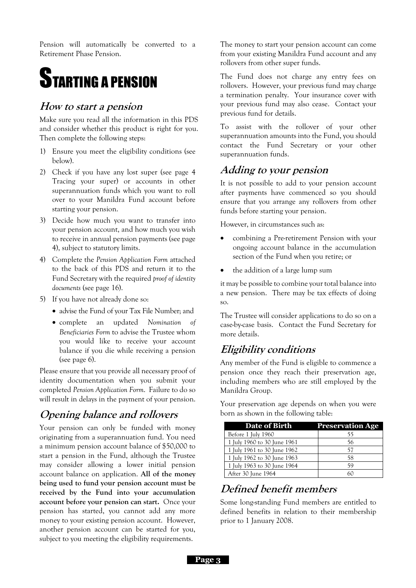Pension will automatically be converted to a Retirement Phase Pension.

## STARTING A PENSION

### **How to start a pension**

Make sure you read all the information in this PDS and consider whether this product is right for you. Then complete the following steps:

- 1) Ensure you meet the eligibility conditions (see below).
- 2) Check if you have any lost super (see page [4](#page-4-3) Tracing your super) or accounts in other superannuation funds which you want to roll over to your Manildra Fund account before starting your pension.
- 3) Decide how much you want to transfer into your pension account, and how much you wish to receive in annual pension payments (see page [4\)](#page-4-4), subject to statutory limits.
- 4) Complete the *Pension Application Form* attached to the back of this PDS and return it to the Fund Secretary with the required *proof of identity documents* (see page [16\)](#page-16-1).
- 5) If you have not already done so:
	- advise the Fund of your Tax File Number; and
	- complete an updated *Nomination of Beneficiaries Form* to advise the Trustee whom you would like to receive your account balance if you die while receiving a pension (see page [6\)](#page-6-1).

Please ensure that you provide all necessary proof of identity documentation when you submit your completed *Pension Application Form*. Failure to do so will result in delays in the payment of your pension.

## **Opening balance and rollovers**

Your pension can only be funded with money originating from a superannuation fund. You need a minimum pension account balance of \$50,000 to start a pension in the Fund, although the Trustee may consider allowing a lower initial pension account balance on application. **All of the money being used to fund your pension account must be received by the Fund into your accumulation account before your pension can start.** Once your pension has started, you cannot add any more money to your existing pension account. However, another pension account can be started for you, subject to you meeting the eligibility requirements.

The money to start your pension account can come from your existing Manildra Fund account and any rollovers from other super funds.

<span id="page-3-0"></span>The Fund does not charge any entry fees on rollovers. However, your previous fund may charge a termination penalty. Your insurance cover with your previous fund may also cease. Contact your previous fund for details.

To assist with the rollover of your other superannuation amounts into the Fund, you should contact the Fund Secretary or your other superannuation funds.

### **Adding to your pension**

It is not possible to add to your pension account after payments have commenced so you should ensure that you arrange any rollovers from other funds before starting your pension.

However, in circumstances such as:

- combining a Pre-retirement Pension with your ongoing account balance in the accumulation section of the Fund when you retire; or
- the addition of a large lump sum

it may be possible to combine your total balance into a new pension. There may be tax effects of doing so.

The Trustee will consider applications to do so on a case-by-case basis. Contact the Fund Secretary for more details.

### **Eligibility conditions**

Any member of the Fund is eligible to commence a pension once they reach their preservation age, including members who are still employed by the Manildra Group.

Your preservation age depends on when you were born as shown in the following table:

| <b>Date of Birth</b>        | <b>Preservation Age</b> |
|-----------------------------|-------------------------|
| Before 1 July 1960          | 55                      |
| 1 July 1960 to 30 June 1961 | 56                      |
| 1 July 1961 to 30 June 1962 | 57                      |
| 1 July 1962 to 30 June 1963 | 58                      |
| 1 July 1963 to 30 June 1964 | 59                      |
| After 30 June 1964          |                         |

## <span id="page-3-1"></span>**Defined benefit members**

Some long-standing Fund members are entitled to defined benefits in relation to their membership prior to 1 January 2008.

**Page 3**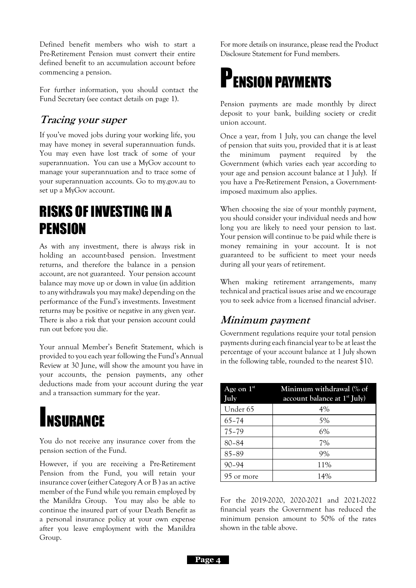Defined benefit members who wish to start a Pre-Retirement Pension must convert their entire defined benefit to an accumulation account before commencing a pension.

For further information, you should contact the Fund Secretary (see contact details on page 1).

### <span id="page-4-3"></span>**Tracing your super**

If you've moved jobs during your working life, you may have money in several superannuation funds. You may even have lost track of some of your superannuation. You can use a MyGov account to manage your superannuation and to trace some of your superannuation accounts. Go to my.gov.au to set up a MyGov account.

## <span id="page-4-0"></span>RISKS OF INVESTING IN A PENSION

As with any investment, there is always risk in holding an account-based pension. Investment returns, and therefore the balance in a pension account, are not guaranteed. Your pension account balance may move up or down in value (in addition to any withdrawals you may make) depending on the performance of the Fund's investments. Investment returns may be positive or negative in any given year. There is also a risk that your pension account could run out before you die.

Your annual Member's Benefit Statement, which is provided to you each year following the Fund's Annual Review at 30 June, will show the amount you have in your accounts, the pension payments, any other deductions made from your account during the year and a transaction summary for the year.

## <span id="page-4-1"></span>**INSURANCE**

You do not receive any insurance cover from the pension section of the Fund.

However, if you are receiving a Pre-Retirement Pension from the Fund, you will retain your insurance cover (either Category A or B ) as an active member of the Fund while you remain employed by the Manildra Group. You may also be able to continue the insured part of your Death Benefit as a personal insurance policy at your own expense after you leave employment with the Manildra Group.

<span id="page-4-2"></span>For more details on insurance, please read the Product Disclosure Statement for Fund members.

<span id="page-4-4"></span>

Pension payments are made monthly by direct deposit to your bank, building society or credit union account.

Once a year, from 1 July, you can change the level of pension that suits you, provided that it is at least the minimum payment required by the Government (which varies each year according to your age and pension account balance at 1 July). If you have a Pre-Retirement Pension, a Governmentimposed maximum also applies.

When choosing the size of your monthly payment, you should consider your individual needs and how long you are likely to need your pension to last. Your pension will continue to be paid while there is money remaining in your account. It is not guaranteed to be sufficient to meet your needs during all your years of retirement.

When making retirement arrangements, many technical and practical issues arise and we encourage you to seek advice from a licensed financial adviser.

### **Minimum payment**

Government regulations require your total pension payments during each financial year to be at least the percentage of your account balance at 1 July shown in the following table, rounded to the nearest \$10.

| Age on $1st$<br>July | Minimum withdrawal (% of<br>account balance at $1st$ July) |
|----------------------|------------------------------------------------------------|
| Under 65             | $4\%$                                                      |
| $65 - 74$            | 5%                                                         |
| $75 - 79$            | 6%                                                         |
| $80 - 84$            | 7%                                                         |
| 85-89                | 9%                                                         |
| $90 - 94$            | 11%                                                        |
| 95 or more           | 14%                                                        |

For the 2019-2020, 2020-2021 and 2021-2022 financial years the Government has reduced the minimum pension amount to 50% of the rates shown in the table above.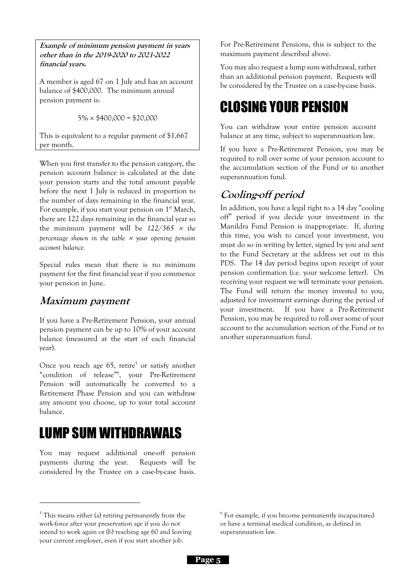**Example of minimum pension payment in years other than in the 2019-2020 to 2021-2022 financial years.**

A member is aged 67 on 1 July and has an account balance of \$400,000. The minimum annual pension payment is:

 $5\% \times $400,000 = $20,000$ 

This is equivalent to a regular payment of \$1,667 per month.

When you first transfer to the pension category, the pension account balance is calculated at the date your pension starts and the total amount payable before the next 1 July is reduced in proportion to the number of days remaining in the financial year. For example, if you start your pension on  $1<sup>st</sup> March$ , there are 122 days remaining in the financial year so the minimum payment will be  $122/365 \times$  the *percentage shown in the table your opening pension account balance.*

Special rules mean that there is no minimum payment for the first financial year if you commence your pension in June.

### **Maximum payment**

If you have a Pre-Retirement Pension, your annual pension payment can be up to 10% of your account balance (measured at the start of each financial year).

Once you reach age  $65$ , retire<sup>5</sup> or satisfy another "condition of release" 6 , your Pre-Retirement Pension will automatically be converted to a Retirement Phase Pension and you can withdraw any amount you choose, up to your total account balance.

## LUMP SUM WITHDRAWALS

You may request additional one-off pension payments during the year. Requests will be considered by the Trustee on a case-by-case basis.

For Pre-Retirement Pensions, this is subject to the maximum payment described above.

You may also request a lump sum withdrawal, rather than an additional pension payment. Requests will be considered by the Trustee on a case-by-case basis.

## CLOSING YOUR PENSION

You can withdraw your entire pension account balance at any time, subject to superannuation law.

If you have a Pre-Retirement Pension, you may be required to roll over some of your pension account to the accumulation section of the Fund or to another superannuation fund.

## **Cooling-off period**

In addition, you have a legal right to a 14 day "cooling off" period if you decide your investment in the Manildra Fund Pension is inappropriate. If, during this time, you wish to cancel your investment, you must do so in writing by letter, signed by you and sent to the Fund Secretary at the address set out in this PDS. The 14 day period begins upon receipt of your pension confirmation (i.e. your welcome letter). On receiving your request we will terminate your pension. The Fund will return the money invested to you, adjusted for investment earnings during the period of your investment. If you have a Pre-Retirement Pension, you may be required to roll over some of your account to the accumulation section of the Fund or to another superannuation fund.

<sup>5</sup> This means either (a) retiring permanently from the work-force after your preservation age if you do not intend to work again or (b) reaching age 60 and leaving your current employer, even if you start another job.

<sup>6</sup> For example, if you become permanently incapacitated or have a terminal medical condition, as defined in superannuation law.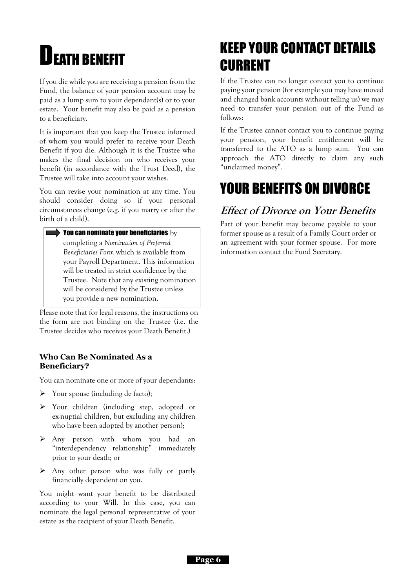# <span id="page-6-0"></span>**LDEATH BENEFIT**

If you die while you are receiving a pension from the Fund, the balance of your pension account may be paid as a lump sum to your dependant(s) or to your estate. Your benefit may also be paid as a pension to a beneficiary.

It is important that you keep the Trustee informed of whom you would prefer to receive your Death Benefit if you die. Although it is the Trustee who makes the final decision on who receives your benefit (in accordance with the Trust Deed), the Trustee will take into account your wishes.

You can revise your nomination at any time. You should consider doing so if your personal circumstances change (e.g. if you marry or after the birth of a child).

<span id="page-6-1"></span> $\blacktriangleright$  You can nominate your beneficiaries  $\mathrm{_{by}}$ completing a *Nomination of Preferred Beneficiaries Form* which is available from your Payroll Department. This information will be treated in strict confidence by the Trustee. Note that any existing nomination will be considered by the Trustee unless you provide a new nomination.

Please note that for legal reasons, the instructions on the form are not binding on the Trustee (i.e. the Trustee decides who receives your Death Benefit.)

#### **Who Can Be Nominated As a Beneficiary?**

You can nominate one or more of your dependants:

- ➢ Your spouse (including de facto);
- ➢ Your children (including step, adopted or ex-nuptial children, but excluding any children who have been adopted by another person);
- ➢ Any person with whom you had an "interdependency relationship" immediately prior to your death; or
- ➢ Any other person who was fully or partly financially dependent on you.

You might want your benefit to be distributed according to your Will. In this case, you can nominate the legal personal representative of your estate as the recipient of your Death Benefit.

## KEEP YOUR CONTACT DETAILS CURRENT

If the Trustee can no longer contact you to continue paying your pension (for example you may have moved and changed bank accounts without telling us) we may need to transfer your pension out of the Fund as follows:

If the Trustee cannot contact you to continue paying your pension, your benefit entitlement will be transferred to the ATO as a lump sum. You can approach the ATO directly to claim any such "unclaimed money".

## YOUR BENEFITS ON DIVORCE

## **Effect of Divorce on Your Benefits**

Part of your benefit may become payable to your former spouse as a result of a Family Court order or an agreement with your former spouse. For more information contact the Fund Secretary.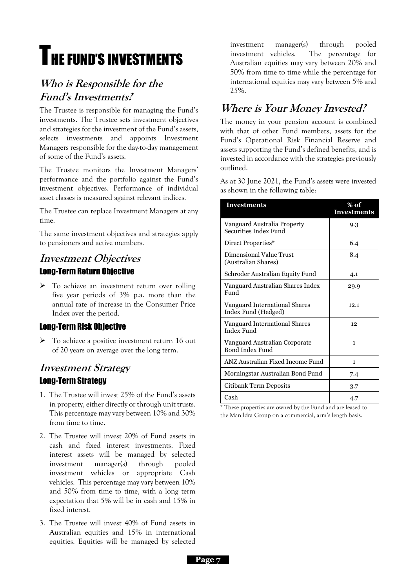# **THE FUND'S INVESTMENTS**

## **Who is Responsible for the Fund's Investments?**

The Trustee is responsible for managing the Fund's investments. The Trustee sets investment objectives and strategies for the investment of the Fund's assets, selects investments and appoints Investment Managers responsible for the day-to-day management of some of the Fund's assets.

The Trustee monitors the Investment Managers' performance and the portfolio against the Fund's investment objectives. Performance of individual asset classes is measured against relevant indices.

The Trustee can replace Investment Managers at any time.

The same investment objectives and strategies apply to pensioners and active members.

### **Investment Objectives** Long-Term Return Objective

➢ To achieve an investment return over rolling five year periods of 3% p.a. more than the annual rate of increase in the Consumer Price Index over the period.

### Long-Term Risk Objective

➢ To achieve a positive investment return 16 out of 20 years on average over the long term.

### **Investment Strategy** Long-Term Strategy

- 1. The Trustee will invest 25% of the Fund's assets in property, either directly or through unit trusts. This percentage may vary between 10% and 30% from time to time.
- 2. The Trustee will invest 20% of Fund assets in cash and fixed interest investments. Fixed interest assets will be managed by selected investment manager(s) through pooled investment vehicles or appropriate Cash vehicles. This percentage may vary between 10% and 50% from time to time, with a long term expectation that 5% will be in cash and 15% in fixed interest.
- 3. The Trustee will invest 40% of Fund assets in Australian equities and 15% in international equities. Equities will be managed by selected

<span id="page-7-0"></span>investment manager(s) through pooled investment vehicles. The percentage for Australian equities may vary between 20% and 50% from time to time while the percentage for international equities may vary between 5% and 25%.

## **Where is Your Money Invested?**

The money in your pension account is combined with that of other Fund members, assets for the Fund's Operational Risk Financial Reserve and assets supporting the Fund's defined benefits, and is invested in accordance with the strategies previously outlined.

As at 30 June 2021, the Fund's assets were invested as shown in the following table:

| <b>Investments</b>                                      | % of<br><b>Investments</b> |
|---------------------------------------------------------|----------------------------|
| Vanguard Australia Property<br>Securities Index Fund    | 9.3                        |
| Direct Properties*                                      | 6.4                        |
| Dimensional Value Trust<br>(Australian Shares)          | 8.4                        |
| Schroder Australian Equity Fund                         | 4.1                        |
| Vanguard Australian Shares Index<br>Fund                | 29.9                       |
| Vanguard International Shares<br>Index Fund (Hedged)    | 12.1                       |
| Vanguard International Shares<br><b>Index Fund</b>      | 12                         |
| Vanguard Australian Corporate<br><b>Bond Index Fund</b> | 1                          |
| ANZ Australian Fixed Income Fund                        | 1                          |
| Morningstar Australian Bond Fund                        | 7.4                        |
| Citibank Term Deposits                                  | 3.7                        |
| Cash                                                    | 4.7                        |

\* These properties are owned by the Fund and are leased to the Manildra Group on a commercial, arm's length basis.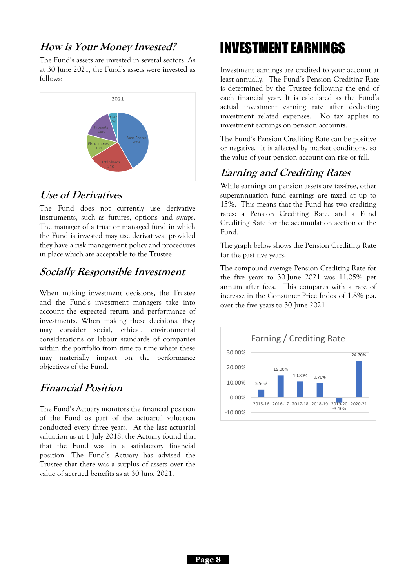### **How is Your Money Invested?**

The Fund's assets are invested in several sectors. As at 30 June 2021, the Fund's assets were invested as follows:



### **Use of Derivatives**

The Fund does not currently use derivative instruments, such as futures, options and swaps. The manager of a trust or managed fund in which the Fund is invested may use derivatives, provided they have a risk management policy and procedures in place which are acceptable to the Trustee.

### **Socially Responsible Investment**

When making investment decisions, the Trustee and the Fund's investment managers take into account the expected return and performance of investments. When making these decisions, they may consider social, ethical, environmental considerations or labour standards of companies within the portfolio from time to time where these may materially impact on the performance objectives of the Fund.

### **Financial Position**

The Fund's Actuary monitors the financial position of the Fund as part of the actuarial valuation conducted every three years. At the last actuarial valuation as at 1 July 2018, the Actuary found that that the Fund was in a satisfactory financial position. The Fund's Actuary has advised the Trustee that there was a surplus of assets over the value of accrued benefits as at 30 June 2021.

## INVESTMENT EARNINGS

Investment earnings are credited to your account at least annually. The Fund's Pension Crediting Rate is determined by the Trustee following the end of each financial year. It is calculated as the Fund's actual investment earning rate after deducting investment related expenses. No tax applies to investment earnings on pension accounts.

The Fund's Pension Crediting Rate can be positive or negative. It is affected by market conditions, so the value of your pension account can rise or fall.

### **Earning and Crediting Rates**

While earnings on pension assets are tax-free, other superannuation fund earnings are taxed at up to 15%. This means that the Fund has two crediting rates: a Pension Crediting Rate, and a Fund Crediting Rate for the accumulation section of the Fund.

The graph below shows the Pension Crediting Rate for the past five years.

The compound average Pension Crediting Rate for the five years to 30 June 2021 was 11.05% per annum after fees. This compares with a rate of increase in the Consumer Price Index of 1.8% p.a. over the five years to 30 June 2021.

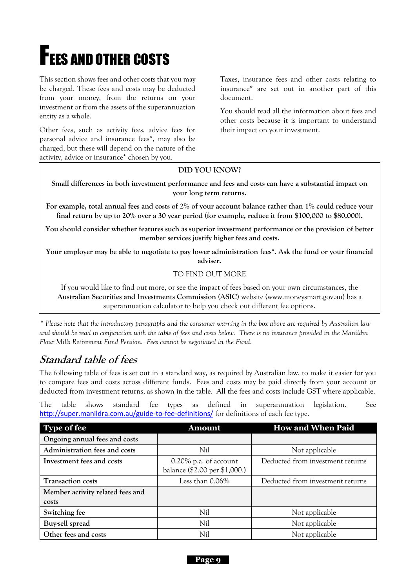# **FEES AND OTHER COSTS**

This section shows fees and other costs that you may be charged. These fees and costs may be deducted from your money, from the returns on your investment or from the assets of the superannuation entity as a whole.

Other fees, such as activity fees, advice fees for personal advice and insurance fees\*, may also be charged, but these will depend on the nature of the activity, advice or insurance\* chosen by you.

<span id="page-9-0"></span>Taxes, insurance fees and other costs relating to insurance\* are set out in another part of this document.

You should read all the information about fees and other costs because it is important to understand their impact on your investment.

#### **DID YOU KNOW?**

**Small differences in both investment performance and fees and costs can have a substantial impact on your long term returns.**

**For example, total annual fees and costs of 2% of your account balance rather than 1% could reduce your final return by up to 20% over a 30 year period (for example, reduce it from \$100,000 to \$80,000).**

**You should consider whether features such as superior investment performance or the provision of better member services justify higher fees and costs.**

**Your employer may be able to negotiate to pay lower administration fees\*. Ask the fund or your financial adviser.**

#### TO FIND OUT MORE

If you would like to find out more, or see the impact of fees based on your own circumstances, the **Australian Securities and Investments Commission (ASIC)** website (www.moneysmart.gov.au) has a superannuation calculator to help you check out different fee options.

*\* Please note that the introductory paragraphs and the consumer warning in the box above are required by Australian law and should be read in conjunction with the table of fees and costs below. There is no insurance provided in the Manildra Flour Mills Retirement Fund Pension. Fees cannot be negotiated in the Fund.*

### **Standard table of fees**

The following table of fees is set out in a standard way, as required by Australian law, to make it easier for you to compare fees and costs across different funds. Fees and costs may be paid directly from your account or deducted from investment returns, as shown in the table. All the fees and costs include GST where applicable.

The table shows standard fee types as defined in superannuation legislation. See <http://super.manildra.com.au/guide-to-fee-definitions/> for definitions of each fee type.

| <b>Type of fee</b>               | <b>Amount</b>                                             | <b>How and When Paid</b>         |
|----------------------------------|-----------------------------------------------------------|----------------------------------|
| Ongoing annual fees and costs    |                                                           |                                  |
| Administration fees and costs    | Nil                                                       | Not applicable                   |
| Investment fees and costs        | $0.20\%$ p.a. of account<br>balance (\$2.00 per \$1,000.) | Deducted from investment returns |
| <b>Transaction costs</b>         | Less than 0.06%                                           | Deducted from investment returns |
| Member activity related fees and |                                                           |                                  |
| costs                            |                                                           |                                  |
| Switching fee                    | Nil                                                       | Not applicable                   |
| Buy-sell spread                  | Nil                                                       | Not applicable                   |
| Other fees and costs             | Nil                                                       | Not applicable                   |

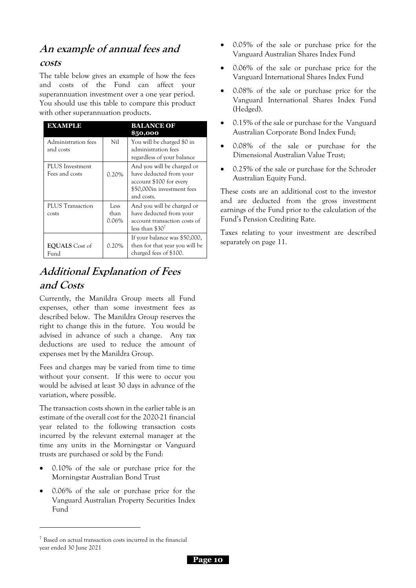### **An example of annual fees and**

#### **costs**

The table below gives an example of how the fees and costs of the Fund can affect your superannuation investment over a one year period. You should use this table to compare this product with other superannuation products.

| EXAMPLE                           |                       | <b>BALANCE OF</b><br>\$50,000                                                                                                |
|-----------------------------------|-----------------------|------------------------------------------------------------------------------------------------------------------------------|
| Administration fees<br>and costs  | Nil                   | You will be charged \$0 in<br>administration fees<br>regardless of your balance                                              |
| PLUS Investment<br>Fees and costs | $0.20\%$              | And you will be charged or<br>have deducted from your<br>account \$100 for every<br>\$50,000in investment fees<br>and costs. |
| <b>PLUS</b> Transaction<br>costs  | Less<br>than<br>0.06% | And you will be charged or<br>have deducted from your<br>account transaction costs of<br>less than $$307$                    |
| <b>EQUALS</b> Cost of<br>Fund     | 0.20%                 | If your balance was \$50,000,<br>then for that year you will be<br>charged fees of \$100.                                    |

## **Additional Explanation of Fees and Costs**

Currently, the Manildra Group meets all Fund expenses, other than some investment fees as described below. The Manildra Group reserves the right to change this in the future. You would be advised in advance of such a change. Any tax deductions are used to reduce the amount of expenses met by the Manildra Group.

Fees and charges may be varied from time to time without your consent. If this were to occur you would be advised at least 30 days in advance of the variation, where possible.

The transaction costs shown in the earlier table is an estimate of the overall cost for the 2020-21 financial year related to the following transaction costs incurred by the relevant external manager at the time any units in the Morningstar or Vanguard trusts are purchased or sold by the Fund:

- 0.10% of the sale or purchase price for the Morningstar Australian Bond Trust
- 0.06% of the sale or purchase price for the Vanguard Australian Property Securities Index Fund
- 0.05% of the sale or purchase price for the Vanguard Australian Shares Index Fund
- 0.06% of the sale or purchase price for the Vanguard International Shares Index Fund
- 0.08% of the sale or purchase price for the Vanguard International Shares Index Fund (Hedged).
- 0.15% of the sale or purchase for the Vanguard Australian Corporate Bond Index Fund;
- 0.08% of the sale or purchase for the Dimensional Australian Value Trust;
- 0.25% of the sale or purchase for the Schroder Australian Equity Fund.

These costs are an additional cost to the investor and are deducted from the gross investment earnings of the Fund prior to the calculation of the Fund's Pension Crediting Rate.

Taxes relating to your investment are described separately on page [11.](#page-11-1)

 $7$  Based on actual transaction costs incurred in the financial year ended 30 June 2021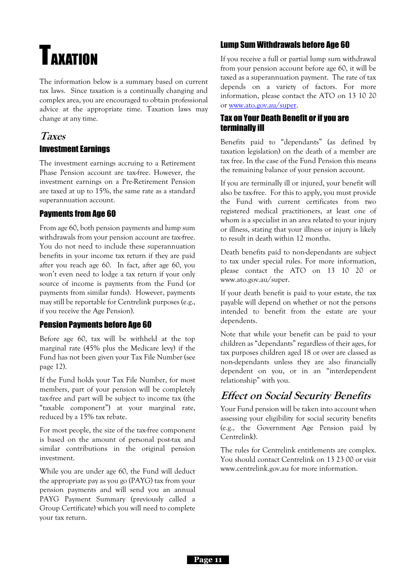# <span id="page-11-1"></span><span id="page-11-0"></span>TAXATION

The information below is a summary based on current tax laws. Since taxation is a continually changing and complex area, you are encouraged to obtain professional advice at the appropriate time. Taxation laws may change at any time.

### **Taxes** Investment Earnings

The investment earnings accruing to a Retirement Phase Pension account are tax-free. However, the investment earnings on a Pre-Retirement Pension are taxed at up to 15%, the same rate as a standard superannuation account.

### Payments from Age 60

From age 60, both pension payments and lump sum withdrawals from your pension account are tax-free. You do not need to include these superannuation benefits in your income tax return if they are paid after you reach age 60. In fact, after age 60, you won't even need to lodge a tax return if your only source of income is payments from the Fund (or payments from similar funds). However, payments may still be reportable for Centrelink purposes (e.g., if you receive the Age Pension).

### Pension Payments before Age 60

Before age 60, tax will be withheld at the top marginal rate (45% plus the Medicare levy) if the Fund has not been given your Tax File Number (see page [12\)](#page-11-2).

If the Fund holds your Tax File Number, for most members, part of your pension will be completely tax-free and part will be subject to income tax (the "taxable component") at your marginal rate, reduced by a 15% tax rebate.

For most people, the size of the tax-free component is based on the amount of personal post-tax and similar contributions in the original pension investment.

While you are under age 60, the Fund will deduct the appropriate pay as you go (PAYG) tax from your pension payments and will send you an annual PAYG Payment Summary (previously called a Group Certificate) which you will need to complete your tax return.

### Lump Sum Withdrawals before Age 60

If you receive a full or partial lump sum withdrawal from your pension account before age 60, it will be taxed as a superannuation payment. The rate of tax depends on a variety of factors. For more information, please contact the ATO on 13 10 20 or [www.ato.gov.au/super.](http://www.ato.gov.au/super)

### Tax on Your Death Benefit or if you are terminally ill

Benefits paid to "dependants" (as defined by taxation legislation) on the death of a member are tax free. In the case of the Fund Pension this means the remaining balance of your pension account.

If you are terminally ill or injured, your benefit will also be tax-free. For this to apply, you must provide the Fund with current certificates from two registered medical practitioners, at least one of whom is a specialist in an area related to your injury or illness, stating that your illness or injury is likely to result in death within 12 months.

Death benefits paid to non-dependants are subject to tax under special rules. For more information, please contact the ATO on 13 10 20 or www.ato.gov.au/super.

If your death benefit is paid to your estate, the tax payable will depend on whether or not the persons intended to benefit from the estate are your dependents.

Note that while your benefit can be paid to your children as "dependants" regardless of their ages, for tax purposes children aged 18 or over are classed as non-dependants unless they are also financially dependent on you, or in an "interdependent relationship" with you.

## **Effect on Social Security Benefits**

Your Fund pension will be taken into account when assessing your eligibility for social security benefits (e.g., the Government Age Pension paid by Centrelink).

<span id="page-11-2"></span>The rules for Centrelink entitlements are complex. You should contact Centrelink on 13 23 00 or visit www.centrelink.gov.au for more information.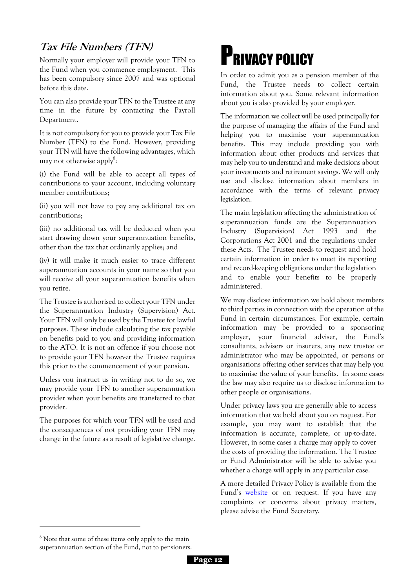## **Tax File Numbers (TFN)**

Normally your employer will provide your TFN to the Fund when you commence employment. This has been compulsory since 2007 and was optional before this date.

You can also provide your TFN to the Trustee at any time in the future by contacting the Payroll Department.

It is not compulsory for you to provide your Tax File Number (TFN) to the Fund. However, providing your TFN will have the following advantages, which may not otherwise apply<sup>8</sup>:

(i) the Fund will be able to accept all types of contributions to your account, including voluntary member contributions;

(ii) you will not have to pay any additional tax on contributions;

(iii) no additional tax will be deducted when you start drawing down your superannuation benefits, other than the tax that ordinarily applies; and

(iv) it will make it much easier to trace different superannuation accounts in your name so that you will receive all your superannuation benefits when you retire.

The Trustee is authorised to collect your TFN under the Superannuation Industry (Supervision) Act. Your TFN will only be used by the Trustee for lawful purposes. These include calculating the tax payable on benefits paid to you and providing information to the ATO. It is not an offence if you choose not to provide your TFN however the Trustee requires this prior to the commencement of your pension.

Unless you instruct us in writing not to do so, we may provide your TFN to another superannuation provider when your benefits are transferred to that provider.

The purposes for which your TFN will be used and the consequences of not providing your TFN may change in the future as a result of legislative change.

# <span id="page-12-0"></span>PRIVACY POLICY

In order to admit you as a pension member of the Fund, the Trustee needs to collect certain information about you. Some relevant information about you is also provided by your employer.

The information we collect will be used principally for the purpose of managing the affairs of the Fund and helping you to maximise your superannuation benefits. This may include providing you with information about other products and services that may help you to understand and make decisions about your investments and retirement savings. We will only use and disclose information about members in accordance with the terms of relevant privacy legislation.

The main legislation affecting the administration of superannuation funds are the Superannuation Industry (Supervision) Act 1993 and the Corporations Act 2001 and the regulations under these Acts. The Trustee needs to request and hold certain information in order to meet its reporting and record-keeping obligations under the legislation and to enable your benefits to be properly administered.

We may disclose information we hold about members to third parties in connection with the operation of the Fund in certain circumstances. For example, certain information may be provided to a sponsoring employer, your financial adviser, the Fund's consultants, advisers or insurers, any new trustee or administrator who may be appointed, or persons or organisations offering other services that may help you to maximise the value of your benefits. In some cases the law may also require us to disclose information to other people or organisations.

Under privacy laws you are generally able to access information that we hold about you on request. For example, you may want to establish that the information is accurate, complete, or up-to-date. However, in some cases a charge may apply to cover the costs of providing the information. The Trustee or Fund Administrator will be able to advise you whether a charge will apply in any particular case.

A more detailed Privacy Policy is available from the Fund's [website](http://super.manildra.com.au/) or on request. If you have any complaints or concerns about privacy matters, please advise the Fund Secretary.

<sup>&</sup>lt;sup>8</sup> Note that some of these items only apply to the main superannuation section of the Fund, not to pensioners.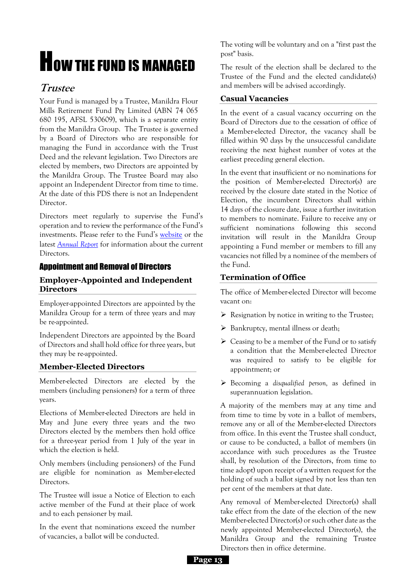# **HOW THE FUND IS MANAGED**

### **Trustee**

Your Fund is managed by a Trustee, Manildra Flour Mills Retirement Fund Pty Limited (ABN 74 065 680 195, AFSL 530609), which is a separate entity from the Manildra Group. The Trustee is governed by a Board of Directors who are responsible for managing the Fund in accordance with the Trust Deed and the relevant legislation. Two Directors are elected by members, two Directors are appointed by the Manildra Group. The Trustee Board may also appoint an Independent Director from time to time. At the date of this PDS there is not an Independent Director.

Directors meet regularly to supervise the Fund's operation and to review the performance of the Fund's investments. Please refer to the Fund's [website](http://super.manildra.com.au/) or the latest *[Annual Report](http://super.manildra.com.au/annual-reports/)* for information about the current Directors.

### Appointment and Removal of Directors

#### **Employer-Appointed and Independent Directors**

Employer-appointed Directors are appointed by the Manildra Group for a term of three years and may be re-appointed.

Independent Directors are appointed by the Board of Directors and shall hold office for three years, but they may be re-appointed.

#### **Member-Elected Directors**

Member-elected Directors are elected by the members (including pensioners) for a term of three years.

Elections of Member-elected Directors are held in May and June every three years and the two Directors elected by the members then hold office for a three-year period from 1 July of the year in which the election is held.

Only members (including pensioners) of the Fund are eligible for nomination as Member-elected Directors.

The Trustee will issue a Notice of Election to each active member of the Fund at their place of work and to each pensioner by mail.

In the event that nominations exceed the number of vacancies, a ballot will be conducted.

The voting will be voluntary and on a "first past the post" basis.

The result of the election shall be declared to the Trustee of the Fund and the elected candidate(s) and members will be advised accordingly.

#### **Casual Vacancies**

In the event of a casual vacancy occurring on the Board of Directors due to the cessation of office of a Member-elected Director, the vacancy shall be filled within 90 days by the unsuccessful candidate receiving the next highest number of votes at the earliest preceding general election.

In the event that insufficient or no nominations for the position of Member-elected Director(s) are received by the closure date stated in the Notice of Election, the incumbent Directors shall within 14 days of the closure date, issue a further invitation to members to nominate. Failure to receive any or sufficient nominations following this second invitation will result in the Manildra Group appointing a Fund member or members to fill any vacancies not filled by a nominee of the members of the Fund.

### **Termination of Office**

The office of Member-elected Director will become vacant on:

- ➢ Resignation by notice in writing to the Trustee;
- ➢ Bankruptcy, mental illness or death;
- $\triangleright$  Ceasing to be a member of the Fund or to satisfy a condition that the Member-elected Director was required to satisfy to be eligible for appointment; or
- ➢ Becoming a *disqualified person,* as defined in superannuation legislation.

A majority of the members may at any time and from time to time by vote in a ballot of members, remove any or all of the Member-elected Directors from office. In this event the Trustee shall conduct, or cause to be conducted, a ballot of members (in accordance with such procedures as the Trustee shall, by resolution of the Directors, from time to time adopt) upon receipt of a written request for the holding of such a ballot signed by not less than ten per cent of the members at that date.

Any removal of Member-elected Director(s) shall take effect from the date of the election of the new Member-elected Director(s) or such other date as the newly appointed Member-elected Director(s), the Manildra Group and the remaining Trustee Directors then in office determine.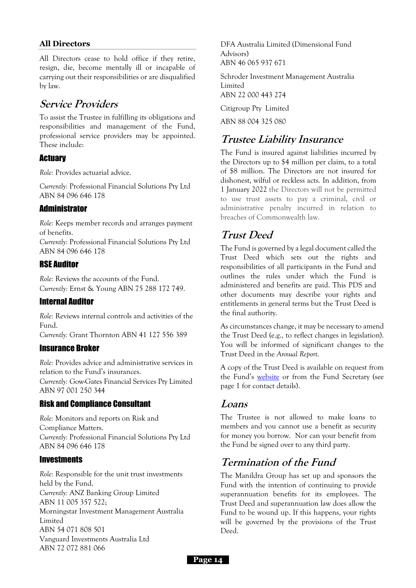#### **All Directors**

All Directors cease to hold office if they retire, resign, die, become mentally ill or incapable of carrying out their responsibilities or are disqualified by law.

### **Service Providers**

To assist the Trustee in fulfilling its obligations and responsibilities and management of the Fund, professional service providers may be appointed. These include:

### **Actuary**

*Role:* Provides actuarial advice.

*Currently:* Professional Financial Solutions Pty Ltd ABN 84 096 646 178

### **Administrator**

*Role:* Keeps member records and arranges payment of benefits.

*Currently:* Professional Financial Solutions Pty Ltd ABN 84 096 646 178

### RSE Auditor

*Role:* Reviews the accounts of the Fund. *Currently:* Ernst & Young ABN 75 288 172 749.

#### Internal Auditor

*Role:* Reviews internal controls and activities of the Fund.

*Currently:* Grant Thornton ABN 41 127 556 389

### Insurance Broker

*Role:* Provides advice and administrative services in relation to the Fund's insurances. *Currently:* Gow-Gates Financial Services Pty Limited ABN 97 001 250 344

### Risk and Compliance Consultant

*Role:* Monitors and reports on Risk and Compliance Matters. *Currently:* Professional Financial Solutions Pty Ltd ABN 84 096 646 178

#### **Investments**

*Role:* Responsible for the unit trust investments held by the Fund. *Currently:* ANZ Banking Group Limited ABN 11 005 357 522; Morningstar Investment Management Australia Limited ABN 54 071 808 501 Vanguard Investments Australia Ltd ABN 72 072 881 066

DFA Australia Limited (Dimensional Fund Advisors) ABN 46 065 937 671

Schroder Investment Management Australia Limited ABN 22 000 443 274

Citigroup Pty Limited

ABN 88 004 325 080

### **Trustee Liability Insurance**

The Fund is insured against liabilities incurred by the Directors up to \$4 million per claim, to a total of \$8 million. The Directors are not insured for dishonest, wilful or reckless acts. In addition, from 1 January 2022 the Directors will not be permitted to use trust assets to pay a criminal, civil or administrative penalty incurred in relation to breaches of Commonwealth law.

## **Trust Deed**

The Fund is governed by a legal document called the Trust Deed which sets out the rights and responsibilities of all participants in the Fund and outlines the rules under which the Fund is administered and benefits are paid. This PDS and other documents may describe your rights and entitlements in general terms but the Trust Deed is the final authority.

As circumstances change, it may be necessary to amend the Trust Deed (e.g., to reflect changes in legislation). You will be informed of significant changes to the Trust Deed in the *Annual Report*.

A copy of the Trust Deed is available on request from the Fund's [website](http://super.manildra.com.au/about.php?documentContent=trustdeed) or from the Fund Secretary (see page 1 for contact details).

### **Loans**

The Trustee is not allowed to make loans to members and you cannot use a benefit as security for money you borrow. Nor can your benefit from the Fund be signed over to any third party.

## **Termination of the Fund**

The Manildra Group has set up and sponsors the Fund with the intention of continuing to provide superannuation benefits for its employees. The Trust Deed and superannuation law does allow the Fund to be wound up. If this happens, your rights will be governed by the provisions of the Trust Deed.

**Page 14**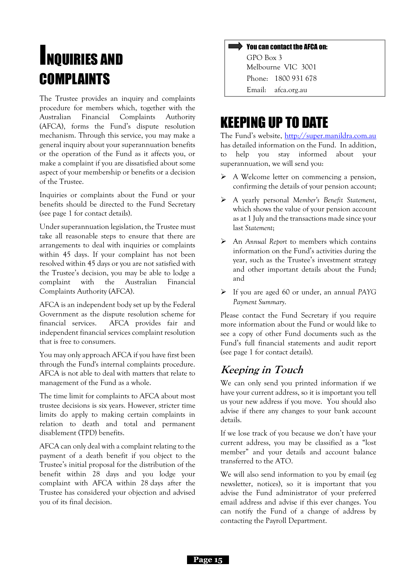## **INQUIRIES AND** COMPLAINTS

<span id="page-15-0"></span>The Trustee provides an inquiry and complaints procedure for members which, together with the Australian Financial Complaints Authority (AFCA), forms the Fund's dispute resolution mechanism. Through this service, you may make a general inquiry about your superannuation benefits or the operation of the Fund as it affects you, or make a complaint if you are dissatisfied about some aspect of your membership or benefits or a decision of the Trustee.

Inquiries or complaints about the Fund or your benefits should be directed to the Fund Secretary (see page 1 for contact details).

Under superannuation legislation, the Trustee must take all reasonable steps to ensure that there are arrangements to deal with inquiries or complaints within 45 days. If your complaint has not been resolved within 45 days or you are not satisfied with the Trustee's decision, you may be able to lodge a complaint with the Australian Financial Complaints Authority (AFCA).

AFCA is an independent body set up by the Federal Government as the dispute resolution scheme for financial services. AFCA provides fair and independent financial services complaint resolution that is free to consumers.

You may only approach AFCA if you have first been through the Fund's internal complaints procedure. AFCA is not able to deal with matters that relate to management of the Fund as a whole.

The time limit for complaints to AFCA about most trustee decisions is six years. However, stricter time limits do apply to making certain complaints in relation to death and total and permanent disablement (TPD) benefits.

AFCA can only deal with a complaint relating to the payment of a death benefit if you object to the Trustee's initial proposal for the distribution of the benefit within 28 days and you lodge your complaint with AFCA within 28 days after the Trustee has considered your objection and advised you of its final decision.

#### You can contact the AFCA on:

GPO Box 3 Melbourne VIC 3001 Phone: 1800 931 678 Email: afca.org.au

## KEEPING UP TO DATE

The Fund's website, [http://super.manildra.com.au](http://super.manildra.com.au/) has detailed information on the Fund. In addition, to help you stay informed about your superannuation, we will send you:

- ➢ A Welcome letter on commencing a pension, confirming the details of your pension account;
- ➢ A yearly personal *Member's Benefit Statement*, which shows the value of your pension account as at 1 July and the transactions made since your last *Statement*;
- ➢ An *Annual Report* to members which contains information on the Fund's activities during the year, such as the Trustee's investment strategy and other important details about the Fund; and
- ➢ If you are aged 60 or under, an annual *PAYG Payment Summary*.

Please contact the Fund Secretary if you require more information about the Fund or would like to see a copy of other Fund documents such as the Fund's full financial statements and audit report (see page [1](#page-1-0) for contact details).

### **Keeping in Touch**

We can only send you printed information if we have your current address, so it is important you tell us your new address if you move. You should also advise if there any changes to your bank account details.

If we lose track of you because we don't have your current address, you may be classified as a "lost member" and your details and account balance transferred to the ATO.

We will also send information to you by email (eg newsletter, notices), so it is important that you advise the Fund administrator of your preferred email address and advise if this ever changes. You can notify the Fund of a change of address by contacting the Payroll Department.